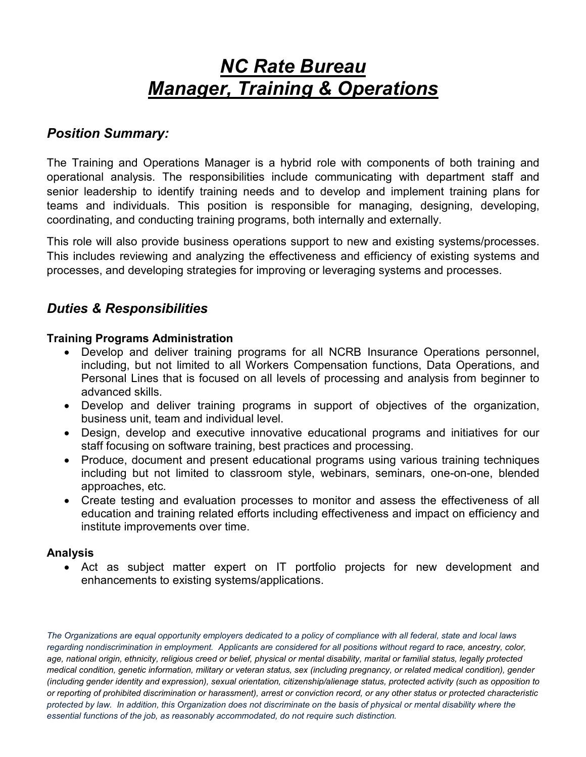# *NC Rate Bureau Manager, Training & Operations*

## *Position Summary:*

The Training and Operations Manager is a hybrid role with components of both training and operational analysis. The responsibilities include communicating with department staff and senior leadership to identify training needs and to develop and implement training plans for teams and individuals. This position is responsible for managing, designing, developing, coordinating, and conducting training programs, both internally and externally.

This role will also provide business operations support to new and existing systems/processes. This includes reviewing and analyzing the effectiveness and efficiency of existing systems and processes, and developing strategies for improving or leveraging systems and processes.

## *Duties & Responsibilities*

#### **Training Programs Administration**

- Develop and deliver training programs for all NCRB Insurance Operations personnel, including, but not limited to all Workers Compensation functions, Data Operations, and Personal Lines that is focused on all levels of processing and analysis from beginner to advanced skills.
- Develop and deliver training programs in support of objectives of the organization, business unit, team and individual level.
- Design, develop and executive innovative educational programs and initiatives for our staff focusing on software training, best practices and processing.
- Produce, document and present educational programs using various training techniques including but not limited to classroom style, webinars, seminars, one-on-one, blended approaches, etc.
- Create testing and evaluation processes to monitor and assess the effectiveness of all education and training related efforts including effectiveness and impact on efficiency and institute improvements over time.

#### **Analysis**

• Act as subject matter expert on IT portfolio projects for new development and enhancements to existing systems/applications.

*The Organizations are equal opportunity employers dedicated to a policy of compliance with all federal, state and local laws regarding nondiscrimination in employment. Applicants are considered for all positions without regard to race, ancestry, color, age, national origin, ethnicity, religious creed or belief, physical or mental disability, marital or familial status, legally protected medical condition, genetic information, military or veteran status, sex (including pregnancy, or related medical condition), gender (including gender identity and expression), sexual orientation, citizenship/alienage status, protected activity (such as opposition to or reporting of prohibited discrimination or harassment), arrest or conviction record, or any other status or protected characteristic protected by law. In addition, this Organization does not discriminate on the basis of physical or mental disability where the essential functions of the job, as reasonably accommodated, do not require such distinction.*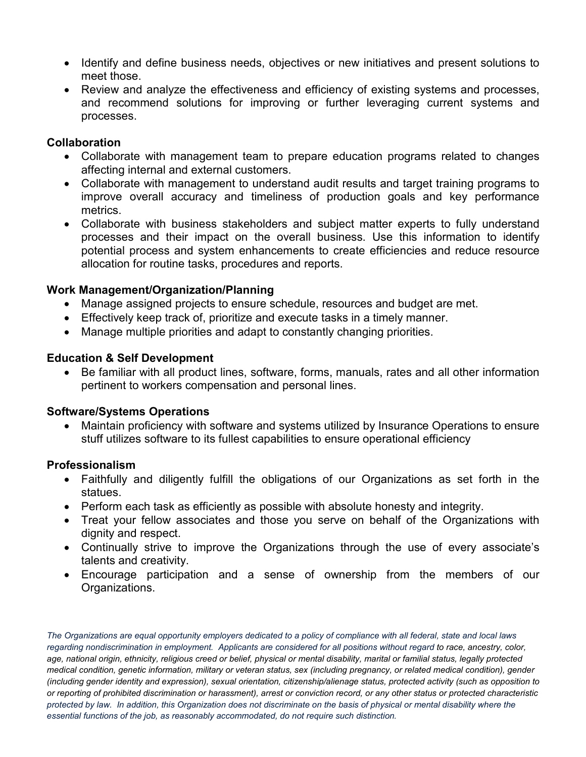- Identify and define business needs, objectives or new initiatives and present solutions to meet those.
- Review and analyze the effectiveness and efficiency of existing systems and processes, and recommend solutions for improving or further leveraging current systems and processes.

#### **Collaboration**

- Collaborate with management team to prepare education programs related to changes affecting internal and external customers.
- Collaborate with management to understand audit results and target training programs to improve overall accuracy and timeliness of production goals and key performance metrics.
- Collaborate with business stakeholders and subject matter experts to fully understand processes and their impact on the overall business. Use this information to identify potential process and system enhancements to create efficiencies and reduce resource allocation for routine tasks, procedures and reports.

#### **Work Management/Organization/Planning**

- Manage assigned projects to ensure schedule, resources and budget are met.
- Effectively keep track of, prioritize and execute tasks in a timely manner.
- Manage multiple priorities and adapt to constantly changing priorities.

#### **Education & Self Development**

• Be familiar with all product lines, software, forms, manuals, rates and all other information pertinent to workers compensation and personal lines.

#### **Software/Systems Operations**

• Maintain proficiency with software and systems utilized by Insurance Operations to ensure stuff utilizes software to its fullest capabilities to ensure operational efficiency

#### **Professionalism**

- Faithfully and diligently fulfill the obligations of our Organizations as set forth in the statues.
- Perform each task as efficiently as possible with absolute honesty and integrity.
- Treat your fellow associates and those you serve on behalf of the Organizations with dignity and respect.
- Continually strive to improve the Organizations through the use of every associate's talents and creativity.
- Encourage participation and a sense of ownership from the members of our Organizations.

*The Organizations are equal opportunity employers dedicated to a policy of compliance with all federal, state and local laws regarding nondiscrimination in employment. Applicants are considered for all positions without regard to race, ancestry, color, age, national origin, ethnicity, religious creed or belief, physical or mental disability, marital or familial status, legally protected medical condition, genetic information, military or veteran status, sex (including pregnancy, or related medical condition), gender (including gender identity and expression), sexual orientation, citizenship/alienage status, protected activity (such as opposition to or reporting of prohibited discrimination or harassment), arrest or conviction record, or any other status or protected characteristic protected by law. In addition, this Organization does not discriminate on the basis of physical or mental disability where the essential functions of the job, as reasonably accommodated, do not require such distinction.*